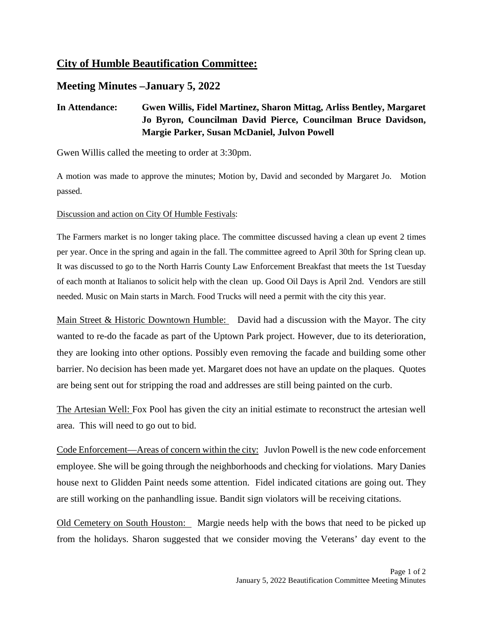## **City of Humble Beautification Committee:**

### **Meeting Minutes –January 5, 2022**

### **In Attendance: Gwen Willis, Fidel Martinez, Sharon Mittag, Arliss Bentley, Margaret Jo Byron, Councilman David Pierce, Councilman Bruce Davidson, Margie Parker, Susan McDaniel, Julvon Powell**

Gwen Willis called the meeting to order at 3:30pm.

A motion was made to approve the minutes; Motion by, David and seconded by Margaret Jo. Motion passed.

Discussion and action on City Of Humble Festivals:

The Farmers market is no longer taking place. The committee discussed having a clean up event 2 times per year. Once in the spring and again in the fall. The committee agreed to April 30th for Spring clean up. It was discussed to go to the North Harris County Law Enforcement Breakfast that meets the 1st Tuesday of each month at Italianos to solicit help with the clean up. Good Oil Days is April 2nd. Vendors are still needed. Music on Main starts in March. Food Trucks will need a permit with the city this year.

Main Street & Historic Downtown Humble: David had a discussion with the Mayor. The city wanted to re-do the facade as part of the Uptown Park project. However, due to its deterioration, they are looking into other options. Possibly even removing the facade and building some other barrier. No decision has been made yet. Margaret does not have an update on the plaques. Quotes are being sent out for stripping the road and addresses are still being painted on the curb.

The Artesian Well: Fox Pool has given the city an initial estimate to reconstruct the artesian well area. This will need to go out to bid.

Code Enforcement—Areas of concern within the city: Juvlon Powell is the new code enforcement employee. She will be going through the neighborhoods and checking for violations. Mary Danies house next to Glidden Paint needs some attention. Fidel indicated citations are going out. They are still working on the panhandling issue. Bandit sign violators will be receiving citations.

Old Cemetery on South Houston: Margie needs help with the bows that need to be picked up from the holidays. Sharon suggested that we consider moving the Veterans' day event to the